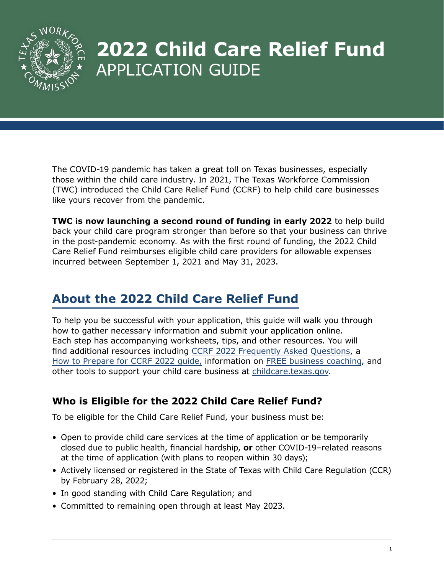

# **2022 Child Care Relief Fund** APPLICATION GUIDE

The COVID-19 pandemic has taken a great toll on Texas businesses, especially those within the child care industry. In 2021, The Texas Workforce Commission (TWC) introduced the Child Care Relief Fund (CCRF) to help child care businesses like yours recover from the pandemic.

**TWC is now launching a second round of funding in early 2022** to help build back your child care program stronger than before so that your business can thrive in the post-pandemic economy. As with the first round of funding, the 2022 Child Care Relief Fund reimburses eligible child care providers for allowable expenses incurred between September 1, 2021 and May 31, 2023.

# **About the 2022 Child Care Relief Fund**

To help you be successful with your application, this guide will walk you through how to gather necessary information and submit your application online. Each step has accompanying worksheets, tips, and other resources. You will find additional resources including [CCRF 2022 Frequently Asked Questions,](https://twc.texas.gov/programs/child-care-relief-fund-frequently-asked-questions) a [How to Prepare for CCRF 2022 guide,](https://www.childcare.texas.gov/preparing-for-the-child-care-relief-fund?hsLang=en) information on [FREE business coaching,](https://www.childcare.texas.gov/free-business-coaching?hsLang=en) and other tools to support your child care business at [childcare.texas.gov.](http://childcare.texas.gov)

# **Who is Eligible for the 2022 Child Care Relief Fund?**

To be eligible for the Child Care Relief Fund, your business must be:

- Open to provide child care services at the time of application or be temporarily closed due to public health, financial hardship, **or** other COVID-19–related reasons at the time of application (with plans to reopen within 30 days);
- Actively licensed or registered in the State of Texas with Child Care Regulation (CCR) by February 28, 2022;
- In good standing with Child Care Regulation; and
- Committed to remaining open through at least May 2023.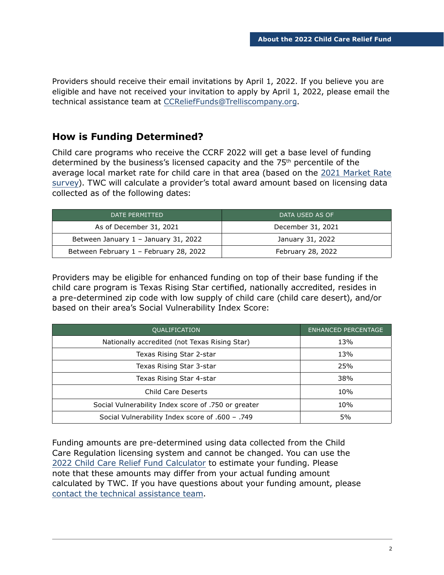Providers should receive their email invitations by April 1, 2022. If you believe you are eligible and have not received your invitation to apply by April 1, 2022, please email the technical assistance team at [CCReliefFunds@Trelliscompany.org](mailto:CCReliefFunds%40Trelliscompany.org?subject=).

# **How is Funding Determined?**

Child care programs who receive the CCRF 2022 will get a base level of funding determined by the business's licensed capacity and the 75th percentile of the average local market rate for child care in that area (based on the [2021 Market Rate](https://txicfw.socialwork.utexas.edu/wp-content/uploads/2021/09/Supplemental-Report_2021-Texas-Child-Care-Market-Rate-Survey.pdf)  [survey](https://txicfw.socialwork.utexas.edu/wp-content/uploads/2021/09/Supplemental-Report_2021-Texas-Child-Care-Market-Rate-Survey.pdf)). TWC will calculate a provider's total award amount based on licensing data collected as of the following dates:

| DATE PERMITTED                         | DATA USED AS OF   |  |
|----------------------------------------|-------------------|--|
| As of December 31, 2021                | December 31, 2021 |  |
| Between January 1 - January 31, 2022   | January 31, 2022  |  |
| Between February 1 - February 28, 2022 | February 28, 2022 |  |

Providers may be eligible for enhanced funding on top of their base funding if the child care program is Texas Rising Star certified, nationally accredited, resides in a pre-determined zip code with low supply of child care (child care desert), and/or based on their area's Social Vulnerability Index Score:

| <b>OUALIFICATION</b>                                | <b>ENHANCED PERCENTAGE</b> |
|-----------------------------------------------------|----------------------------|
| Nationally accredited (not Texas Rising Star)       | 13%                        |
| Texas Rising Star 2-star                            | 13%                        |
| Texas Rising Star 3-star                            | 25%                        |
| Texas Rising Star 4-star                            | 38%                        |
| Child Care Deserts                                  | 10%                        |
| Social Vulnerability Index score of .750 or greater | 10%                        |
| Social Vulnerability Index score of .600 - .749     | 5%                         |

Funding amounts are pre-determined using data collected from the Child Care Regulation licensing system and cannot be changed. You can use the [2022 Child Care Relief Fund Calculator](https://www.childcare.texas.gov/2022-ccrf-calculator) to estimate your funding. Please note that these amounts may differ from your actual funding amount calculated by TWC. If you have questions about your funding amount, please [contact the technical assistance team](https://www.childcare.texas.gov/ccrf2022update).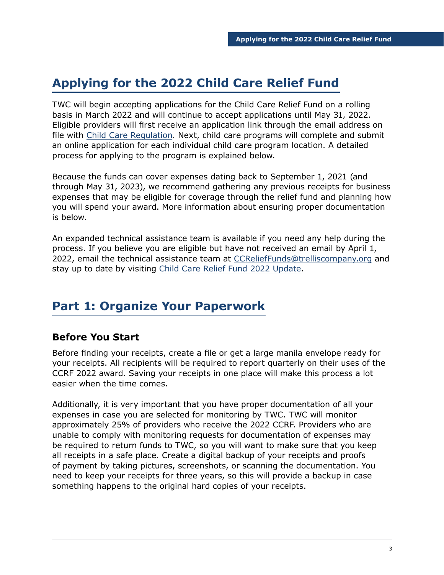# **Applying for the 2022 Child Care Relief Fund**

TWC will begin accepting applications for the Child Care Relief Fund on a rolling basis in March 2022 and will continue to accept applications until May 31, 2022. Eligible providers will first receive an application link through the email address on file with [Child Care Regulation.](https://www.hhs.texas.gov/doing-business-hhs/provider-portals/protective-services-providers/child-care-licensing) Next, child care programs will complete and submit an online application for each individual child care program location. A detailed process for applying to the program is explained below.

Because the funds can cover expenses dating back to September 1, 2021 (and through May 31, 2023), we recommend gathering any previous receipts for business expenses that may be eligible for coverage through the relief fund and planning how you will spend your award. More information about ensuring proper documentation is below.

An expanded technical assistance team is available if you need any help during the process. If you believe you are eligible but have not received an email by April 1, 2022, email the technical assistance team at [CCReliefFunds@trelliscompany.org](mailto:CCReliefFunds%40trelliscompany.org?subject=) and stay up to date by visiting [Child Care Relief Fund 2022 Update](https://www.childcare.texas.gov/ccrf2022update?hsLang=en).

# **Part 1: Organize Your Paperwork**

# **Before You Start**

Before finding your receipts, create a file or get a large manila envelope ready for your receipts. All recipients will be required to report quarterly on their uses of the CCRF 2022 award. Saving your receipts in one place will make this process a lot easier when the time comes.

Additionally, it is very important that you have proper documentation of all your expenses in case you are selected for monitoring by TWC. TWC will monitor approximately 25% of providers who receive the 2022 CCRF. Providers who are unable to comply with monitoring requests for documentation of expenses may be required to return funds to TWC, so you will want to make sure that you keep all receipts in a safe place. Create a digital backup of your receipts and proofs of payment by taking pictures, screenshots, or scanning the documentation. You need to keep your receipts for three years, so this will provide a backup in case something happens to the original hard copies of your receipts.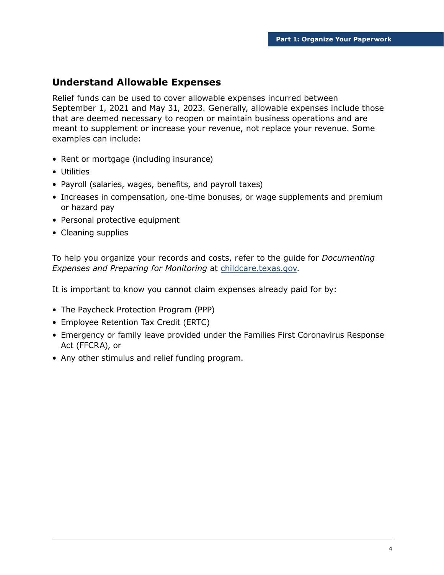### **Understand Allowable Expenses**

Relief funds can be used to cover allowable expenses incurred between September 1, 2021 and May 31, 2023. Generally, allowable expenses include those that are deemed necessary to reopen or maintain business operations and are meant to supplement or increase your revenue, not replace your revenue. Some examples can include:

- Rent or mortgage (including insurance)
- Utilities
- Payroll (salaries, wages, benefits, and payroll taxes)
- Increases in compensation, one-time bonuses, or wage supplements and premium or hazard pay
- Personal protective equipment
- Cleaning supplies

To help you organize your records and costs, refer to the guide for *Documenting Expenses and Preparing for Monitoring* at [childcare.texas.gov](http://childcare.texas.gov).

It is important to know you cannot claim expenses already paid for by:

- The Paycheck Protection Program (PPP)
- Employee Retention Tax Credit (ERTC)
- Emergency or family leave provided under the Families First Coronavirus Response Act (FFCRA), or
- Any other stimulus and relief funding program.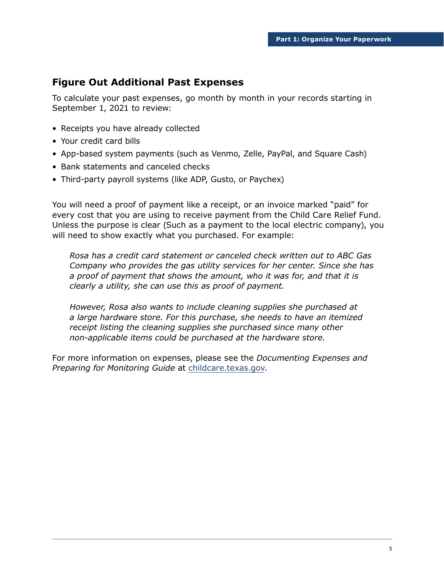# **Figure Out Additional Past Expenses**

To calculate your past expenses, go month by month in your records starting in September 1, 2021 to review:

- Receipts you have already collected
- Your credit card bills
- App-based system payments (such as Venmo, Zelle, PayPal, and Square Cash)
- Bank statements and canceled checks
- Third-party payroll systems (like ADP, Gusto, or Paychex)

You will need a proof of payment like a receipt, or an invoice marked "paid" for every cost that you are using to receive payment from the Child Care Relief Fund. Unless the purpose is clear (Such as a payment to the local electric company), you will need to show exactly what you purchased. For example:

*Rosa has a credit card statement or canceled check written out to ABC Gas Company who provides the gas utility services for her center. Since she has a proof of payment that shows the amount, who it was for, and that it is clearly a utility, she can use this as proof of payment.* 

*However, Rosa also wants to include cleaning supplies she purchased at a large hardware store. For this purchase, she needs to have an itemized receipt listing the cleaning supplies she purchased since many other non-applicable items could be purchased at the hardware store.*

For more information on expenses, please see the *Documenting Expenses and Preparing for Monitoring Guide* at [childcare.texas.gov.](http://childcare.texas.gov)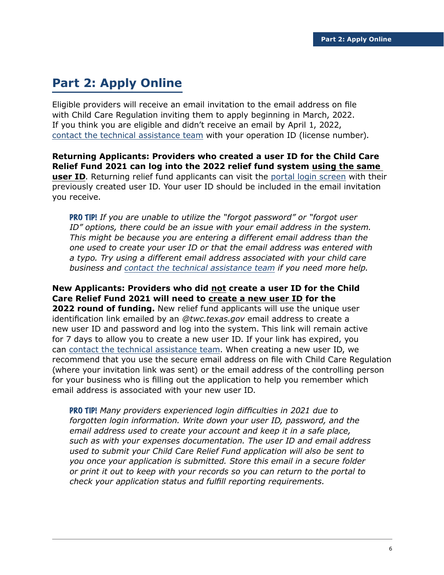# **Part 2: Apply Online**

Eligible providers will receive an email invitation to the email address on file with Child Care Regulation inviting them to apply beginning in March, 2022. If you think you are eligible and didn't receive an email by April 1, 2022, [contact the technical assistance team](https://www.childcare.texas.gov/ccrf2022update) with your operation ID (license number).

**Returning Applicants: Providers who created a user ID for the Child Care Relief Fund 2021 can log into the 2022 relief fund system using the same user ID**. Returning relief fund applicants can visit the [portal login screen](https://apps.twc.state.tx.us/ChildCareReliefGrant/logon/?language=en) with their previously created user ID. Your user ID should be included in the email invitation you receive.

PRO TIP! *If you are unable to utilize the "forgot password" or "forgot user ID" options, there could be an issue with your email address in the system. This might be because you are entering a different email address than the one used to create your user ID or that the email address was entered with a typo. Try using a different email address associated with your child care business and [contact the technical assistance team](https://www.childcare.texas.gov/ccrf2022update) if you need more help.* 

**New Applicants: Providers who did not create a user ID for the Child Care Relief Fund 2021 will need to create a new user ID for the 2022 round of funding.** New relief fund applicants will use the unique user identification link emailed by an *@twc.texas.gov* email address to create a new user ID and password and log into the system. This link will remain active for 7 days to allow you to create a new user ID. If your link has expired, you can [contact the technical assistance team](https://www.childcare.texas.gov/ccrf2022update). When creating a new user ID, we recommend that you use the secure email address on file with Child Care Regulation (where your invitation link was sent) or the email address of the controlling person for your business who is filling out the application to help you remember which email address is associated with your new user ID.

PRO TIP! *Many providers experienced login difficulties in 2021 due to forgotten login information. Write down your user ID, password, and the email address used to create your account and keep it in a safe place, such as with your expenses documentation. The user ID and email address used to submit your Child Care Relief Fund application will also be sent to you once your application is submitted. Store this email in a secure folder or print it out to keep with your records so you can return to the portal to check your application status and fulfill reporting requirements.*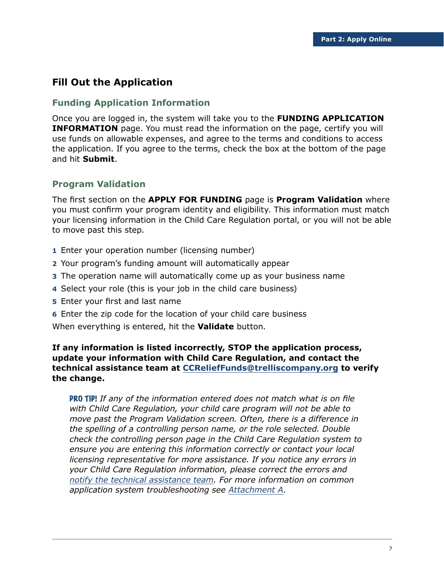### **Fill Out the Application**

#### **Funding Application Information**

Once you are logged in, the system will take you to the **FUNDING APPLICATION INFORMATION** page. You must read the information on the page, certify you will use funds on allowable expenses, and agree to the terms and conditions to access the application. If you agree to the terms, check the box at the bottom of the page and hit **Submit**.

#### **Program Validation**

The first section on the **APPLY FOR FUNDING** page is **Program Validation** where you must confirm your program identity and eligibility. This information must match your licensing information in the Child Care Regulation portal, or you will not be able to move past this step.

- **1** Enter your operation number (licensing number)
- **2** Your program's funding amount will automatically appear
- **3** The operation name will automatically come up as your business name
- **4** Select your role (this is your job in the child care business)
- **5** Enter your first and last name
- **6** Enter the zip code for the location of your child care business

When everything is entered, hit the **Validate** button.

**If any information is listed incorrectly, STOP the application process, update your information with Child Care Regulation, and contact the technical assistance team at [CCReliefFunds@trelliscompany.org](mailto:CCReliefFunds%40trelliscompany.org?subject=) to verify the change.**

PRO TIP! *If any of the information entered does not match what is on file with Child Care Regulation, your child care program will not be able to move past the Program Validation screen. Often, there is a difference in the spelling of a controlling person name, or the role selected. Double check the controlling person page in the Child Care Regulation system to ensure you are entering this information correctly or contact your local licensing representative for more assistance. If you notice any errors in your Child Care Regulation information, please correct the errors and [notify the technical assistance team.](https://www.childcare.texas.gov/ccrf2022update) For more information on common application system troubleshooting see [Attachment A.](#page-21-0)*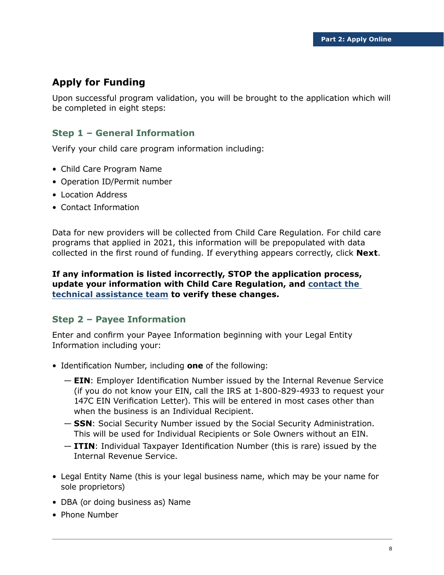# **Apply for Funding**

Upon successful program validation, you will be brought to the application which will be completed in eight steps:

### **Step 1 – General Information**

Verify your child care program information including:

- Child Care Program Name
- Operation ID/Permit number
- Location Address
- Contact Information

Data for new providers will be collected from Child Care Regulation. For child care programs that applied in 2021, this information will be prepopulated with data collected in the first round of funding. If everything appears correctly, click **Next**.

#### **If any information is listed incorrectly, STOP the application process, update your information with Child Care Regulation, and [contact the](https://www.childcare.texas.gov/ccrf2022update)  [technical assistance team](https://www.childcare.texas.gov/ccrf2022update) to verify these changes.**

#### **Step 2 – Payee Information**

Enter and confirm your Payee Information beginning with your Legal Entity Information including your:

- Identification Number, including **one** of the following:
	- **EIN**: Employer Identification Number issued by the Internal Revenue Service (if you do not know your EIN, call the IRS at 1-800-829-4933 to request your 147C EIN Verification Letter). This will be entered in most cases other than when the business is an Individual Recipient.
	- **SSN**: Social Security Number issued by the Social Security Administration. This will be used for Individual Recipients or Sole Owners without an EIN.
	- **ITIN**: Individual Taxpayer Identification Number (this is rare) issued by the Internal Revenue Service.
- Legal Entity Name (this is your legal business name, which may be your name for sole proprietors)
- DBA (or doing business as) Name
- Phone Number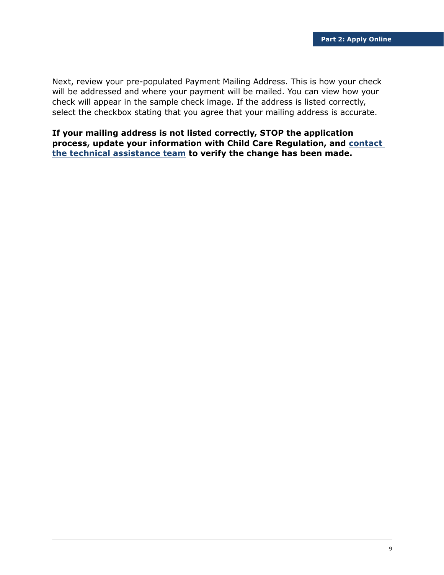Next, review your pre-populated Payment Mailing Address. This is how your check will be addressed and where your payment will be mailed. You can view how your check will appear in the sample check image. If the address is listed correctly, select the checkbox stating that you agree that your mailing address is accurate.

**If your mailing address is not listed correctly, STOP the application process, update your information with Child Care Regulation, and [contact](https://www.childcare.texas.gov/ccrf2022update)  [the technical assistance team](https://www.childcare.texas.gov/ccrf2022update) to verify the change has been made.**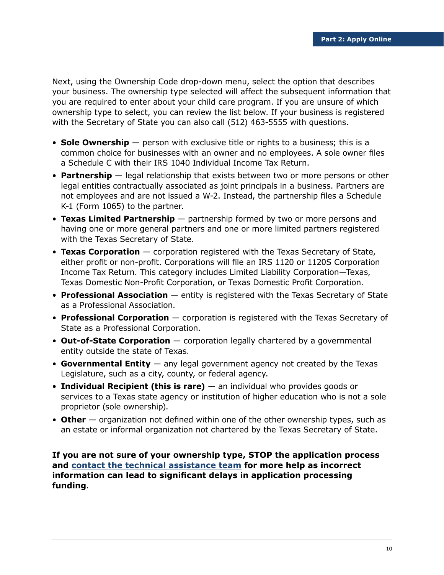Next, using the Ownership Code drop-down menu, select the option that describes your business. The ownership type selected will affect the subsequent information that you are required to enter about your child care program. If you are unsure of which ownership type to select, you can review the list below. If your business is registered with the Secretary of State you can also call (512) 463-5555 with questions.

- **Sole Ownership** person with exclusive title or rights to a business; this is a common choice for businesses with an owner and no employees. A sole owner files a Schedule C with their IRS 1040 Individual Income Tax Return.
- **Partnership** legal relationship that exists between two or more persons or other legal entities contractually associated as joint principals in a business. Partners are not employees and are not issued a W-2. Instead, the partnership files a Schedule K-1 (Form 1065) to the partner.
- **Texas Limited Partnership** partnership formed by two or more persons and having one or more general partners and one or more limited partners registered with the Texas Secretary of State.
- **Texas Corporation** corporation registered with the Texas Secretary of State, either profit or non-profit. Corporations will file an IRS 1120 or 1120S Corporation Income Tax Return. This category includes Limited Liability Corporation—Texas, Texas Domestic Non-Profit Corporation, or Texas Domestic Profit Corporation.
- **Professional Association** entity is registered with the Texas Secretary of State as a Professional Association.
- **Professional Corporation** corporation is registered with the Texas Secretary of State as a Professional Corporation.
- **Out-of-State Corporation** corporation legally chartered by a governmental entity outside the state of Texas.
- **Governmental Entity** any legal government agency not created by the Texas Legislature, such as a city, county, or federal agency.
- **Individual Recipient (this is rare)** an individual who provides goods or services to a Texas state agency or institution of higher education who is not a sole proprietor (sole ownership).
- **Other** organization not defined within one of the other ownership types, such as an estate or informal organization not chartered by the Texas Secretary of State.

**If you are not sure of your ownership type, STOP the application process and [contact the technical assistance team](https://www.childcare.texas.gov/ccrf2022update) for more help as incorrect information can lead to significant delays in application processing funding**.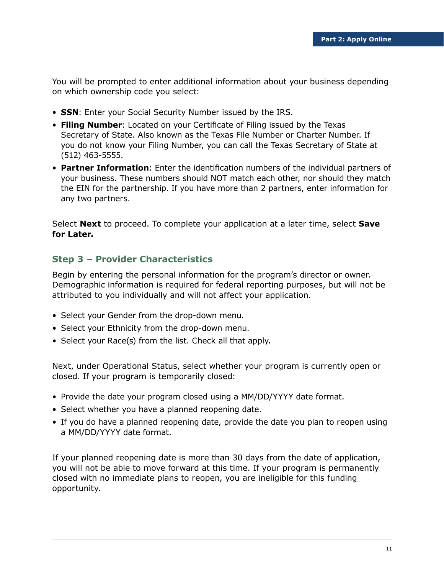You will be prompted to enter additional information about your business depending on which ownership code you select:

- **SSN**: Enter your Social Security Number issued by the IRS.
- **Filing Number**: Located on your Certificate of Filing issued by the Texas Secretary of State. Also known as the Texas File Number or Charter Number. If you do not know your Filing Number, you can call the Texas Secretary of State at (512) 463-5555.
- **Partner Information**: Enter the identification numbers of the individual partners of your business. These numbers should NOT match each other, nor should they match the EIN for the partnership. If you have more than 2 partners, enter information for any two partners.

Select **Next** to proceed. To complete your application at a later time, select **Save for Later.**

#### **Step 3 – Provider Characteristics**

Begin by entering the personal information for the program's director or owner. Demographic information is required for federal reporting purposes, but will not be attributed to you individually and will not affect your application.

- Select your Gender from the drop-down menu.
- Select your Ethnicity from the drop-down menu.
- Select your Race(s) from the list. Check all that apply.

Next, under Operational Status, select whether your program is currently open or closed. If your program is temporarily closed:

- Provide the date your program closed using a MM/DD/YYYY date format.
- Select whether you have a planned reopening date.
- If you do have a planned reopening date, provide the date you plan to reopen using a MM/DD/YYYY date format.

If your planned reopening date is more than 30 days from the date of application, you will not be able to move forward at this time. If your program is permanently closed with no immediate plans to reopen, you are ineligible for this funding opportunity.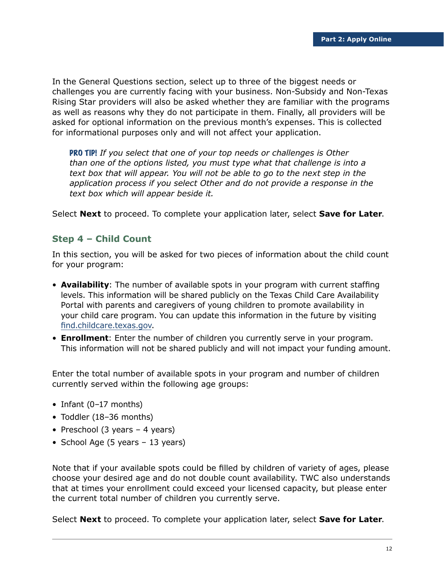In the General Questions section, select up to three of the biggest needs or challenges you are currently facing with your business. Non-Subsidy and Non-Texas Rising Star providers will also be asked whether they are familiar with the programs as well as reasons why they do not participate in them. Finally, all providers will be asked for optional information on the previous month's expenses. This is collected for informational purposes only and will not affect your application.

PRO TIP! *If you select that one of your top needs or challenges is Other than one of the options listed, you must type what that challenge is into a text box that will appear. You will not be able to go to the next step in the application process if you select Other and do not provide a response in the text box which will appear beside it.*

Select **Next** to proceed. To complete your application later, select **Save for Later**.

#### **Step 4 – Child Count**

In this section, you will be asked for two pieces of information about the child count for your program:

- **Availability**: The number of available spots in your program with current staffing levels. This information will be shared publicly on the Texas Child Care Availability Portal with parents and caregivers of young children to promote availability in your child care program. You can update this information in the future by visiting [find.childcare.texas.gov](http://find.childcare.texas.gov).
- **Enrollment**: Enter the number of children you currently serve in your program. This information will not be shared publicly and will not impact your funding amount.

Enter the total number of available spots in your program and number of children currently served within the following age groups:

- Infant (0-17 months)
- Toddler (18–36 months)
- Preschool (3 years 4 years)
- School Age (5 years 13 years)

Note that if your available spots could be filled by children of variety of ages, please choose your desired age and do not double count availability. TWC also understands that at times your enrollment could exceed your licensed capacity, but please enter the current total number of children you currently serve.

Select **Next** to proceed. To complete your application later, select **Save for Later**.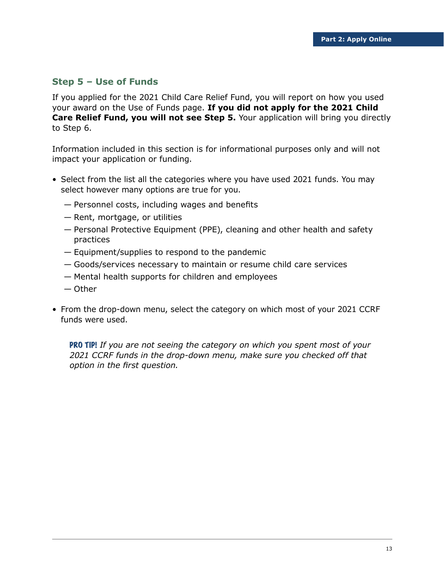#### **Step 5 – Use of Funds**

If you applied for the 2021 Child Care Relief Fund, you will report on how you used your award on the Use of Funds page. **If you did not apply for the 2021 Child Care Relief Fund, you will not see Step 5.** Your application will bring you directly to Step 6.

Information included in this section is for informational purposes only and will not impact your application or funding.

- Select from the list all the categories where you have used 2021 funds. You may select however many options are true for you.
	- Personnel costs, including wages and benefits
	- Rent, mortgage, or utilities
	- Personal Protective Equipment (PPE), cleaning and other health and safety practices
	- Equipment/supplies to respond to the pandemic
	- Goods/services necessary to maintain or resume child care services
	- Mental health supports for children and employees
	- Other
- From the drop-down menu, select the category on which most of your 2021 CCRF funds were used.

PRO TIP! *If you are not seeing the category on which you spent most of your 2021 CCRF funds in the drop-down menu, make sure you checked off that option in the first question.*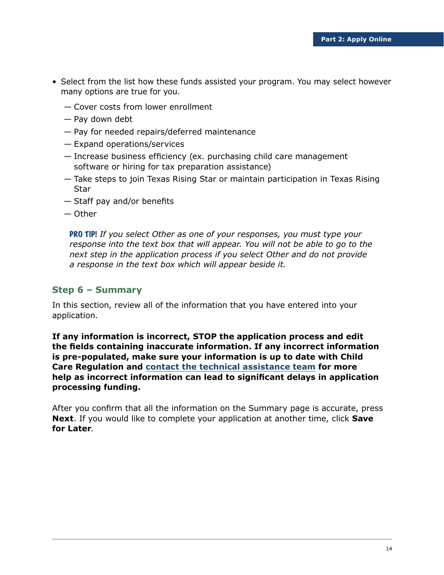- Select from the list how these funds assisted your program. You may select however many options are true for you.
	- Cover costs from lower enrollment
	- Pay down debt
	- Pay for needed repairs/deferred maintenance
	- Expand operations/services
	- Increase business efficiency (ex. purchasing child care management software or hiring for tax preparation assistance)
	- Take steps to join Texas Rising Star or maintain participation in Texas Rising Star
	- Staff pay and/or benefits
	- Other

PRO TIP! *If you select Other as one of your responses, you must type your response into the text box that will appear. You will not be able to go to the next step in the application process if you select Other and do not provide a response in the text box which will appear beside it.*

#### **Step 6 – Summary**

In this section, review all of the information that you have entered into your application.

**If any information is incorrect, STOP the application process and edit the fields containing inaccurate information. If any incorrect information is pre-populated, make sure your information is up to date with Child Care Regulation and [contact the technical assistance team](https://www.childcare.texas.gov/ccrf2022update) for more help as incorrect information can lead to significant delays in application processing funding.**

After you confirm that all the information on the Summary page is accurate, press **Next**. If you would like to complete your application at another time, click **Save for Later**.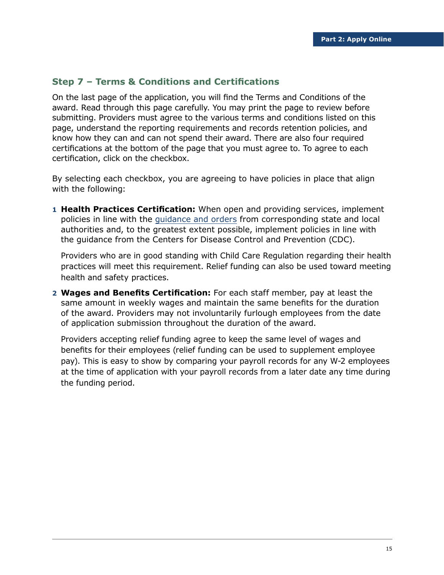#### **Step 7 – Terms & Conditions and Certifications**

On the last page of the application, you will find the Terms and Conditions of the award. Read through this page carefully. You may print the page to review before submitting. Providers must agree to the various terms and conditions listed on this page, understand the reporting requirements and records retention policies, and know how they can and can not spend their award. There are also four required certifications at the bottom of the page that you must agree to. To agree to each certification, click on the checkbox.

By selecting each checkbox, you are agreeing to have policies in place that align with the following:

**1 Health Practices Certification:** When open and providing services, implement policies in line with the [guidance and orders](https://www.cdc.gov/coronavirus/2019-ncov/community/schools-childcare/child-care-guidance.html) from corresponding state and local authorities and, to the greatest extent possible, implement policies in line with the guidance from the Centers for Disease Control and Prevention (CDC).

Providers who are in good standing with Child Care Regulation regarding their health practices will meet this requirement. Relief funding can also be used toward meeting health and safety practices.

**2 Wages and Benefits Certification:** For each staff member, pay at least the same amount in weekly wages and maintain the same benefits for the duration of the award. Providers may not involuntarily furlough employees from the date of application submission throughout the duration of the award.

Providers accepting relief funding agree to keep the same level of wages and benefits for their employees (relief funding can be used to supplement employee pay). This is easy to show by comparing your payroll records for any W-2 employees at the time of application with your payroll records from a later date any time during the funding period.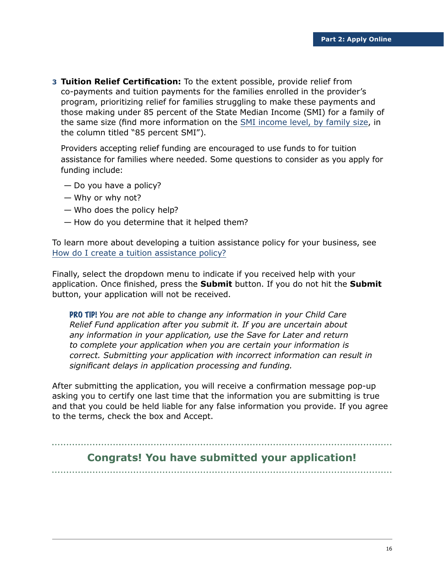**3 Tuition Relief Certification:** To the extent possible, provide relief from co-payments and tuition payments for the families enrolled in the provider's program, prioritizing relief for families struggling to make these payments and those making under 85 percent of the State Median Income (SMI) for a family of the same size (find more information on the [SMI income level, by family size,](https://twc.texas.gov/files/policy_letters/attachments/17-21-att-1-twc.pdf) in the column titled "85 percent SMI").

Providers accepting relief funding are encouraged to use funds to for tuition assistance for families where needed. Some questions to consider as you apply for funding include:

- Do you have a policy?
- Why or why not?
- Who does the policy help?
- How do you determine that it helped them?

To learn more about developing a tuition assistance policy for your business, see [How do I create a tuition assistance policy?](https://f.hubspotusercontent30.net/hubfs/19993137/pdf/TX%20Scholarship%20Policy_ENGLISH.pdf)

Finally, select the dropdown menu to indicate if you received help with your application. Once finished, press the **Submit** button. If you do not hit the **Submit** button, your application will not be received.

PRO TIP! *You are not able to change any information in your Child Care Relief Fund application after you submit it. If you are uncertain about any information in your application, use the Save for Later and return to complete your application when you are certain your information is correct. Submitting your application with incorrect information can result in significant delays in application processing and funding.*

After submitting the application, you will receive a confirmation message pop-up asking you to certify one last time that the information you are submitting is true and that you could be held liable for any false information you provide. If you agree to the terms, check the box and Accept.

# **Congrats! You have submitted your application!**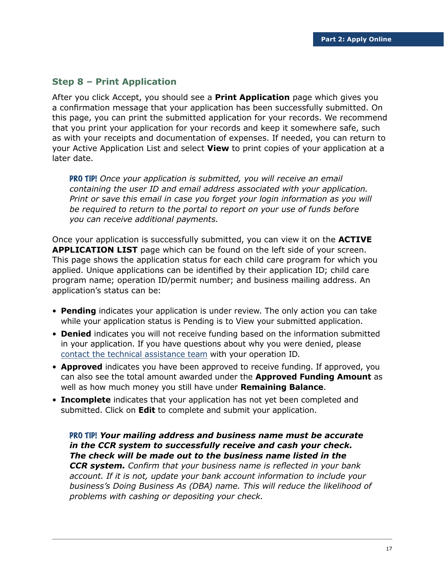#### **Step 8 – Print Application**

After you click Accept, you should see a **Print Application** page which gives you a confirmation message that your application has been successfully submitted. On this page, you can print the submitted application for your records. We recommend that you print your application for your records and keep it somewhere safe, such as with your receipts and documentation of expenses. If needed, you can return to your Active Application List and select **View** to print copies of your application at a later date.

PRO TIP! *Once your application is submitted, you will receive an email containing the user ID and email address associated with your application. Print or save this email in case you forget your login information as you will be required to return to the portal to report on your use of funds before you can receive additional payments.* 

Once your application is successfully submitted, you can view it on the **ACTIVE APPLICATION LIST** page which can be found on the left side of your screen. This page shows the application status for each child care program for which you applied. Unique applications can be identified by their application ID; child care program name; operation ID/permit number; and business mailing address. An application's status can be:

- **Pending** indicates your application is under review. The only action you can take while your application status is Pending is to View your submitted application.
- **Denied** indicates you will not receive funding based on the information submitted in your application. If you have questions about why you were denied, please [contact the technical assistance team](https://www.childcare.texas.gov/ccrf2022update) with your operation ID.
- **Approved** indicates you have been approved to receive funding. If approved, you can also see the total amount awarded under the **Approved Funding Amount** as well as how much money you still have under **Remaining Balance**.
- **Incomplete** indicates that your application has not yet been completed and submitted. Click on **Edit** to complete and submit your application.

PRO TIP! *Your mailing address and business name must be accurate in the CCR system to successfully receive and cash your check. The check will be made out to the business name listed in the CCR system. Confirm that your business name is reflected in your bank account. If it is not, update your bank account information to include your business's Doing Business As (DBA) name. This will reduce the likelihood of problems with cashing or depositing your check.*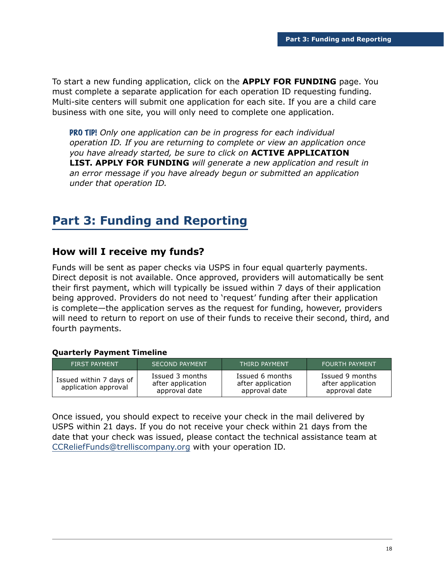To start a new funding application, click on the **APPLY FOR FUNDING** page. You must complete a separate application for each operation ID requesting funding. Multi-site centers will submit one application for each site. If you are a child care business with one site, you will only need to complete one application.

PRO TIP! *Only one application can be in progress for each individual operation ID. If you are returning to complete or view an application once you have already started, be sure to click on* **ACTIVE APPLICATION LIST. APPLY FOR FUNDING** *will generate a new application and result in an error message if you have already begun or submitted an application under that operation ID.* 

# **Part 3: Funding and Reporting**

### **How will I receive my funds?**

Funds will be sent as paper checks via USPS in four equal quarterly payments. Direct deposit is not available. Once approved, providers will automatically be sent their first payment, which will typically be issued within 7 days of their application being approved. Providers do not need to 'request' funding after their application is complete—the application serves as the request for funding, however, providers will need to return to report on use of their funds to receive their second, third, and fourth payments.

#### **Quarterly Payment Timeline**

| <b>FIRST PAYMENT</b>                            | <b>SECOND PAYMENT</b>                                 | <b>THIRD PAYMENT</b>                                  | <b>FOURTH PAYMENT</b>                                 |
|-------------------------------------------------|-------------------------------------------------------|-------------------------------------------------------|-------------------------------------------------------|
| Issued within 7 days of<br>application approval | Issued 3 months<br>after application<br>approval date | Issued 6 months<br>after application<br>approval date | Issued 9 months<br>after application<br>approval date |

Once issued, you should expect to receive your check in the mail delivered by USPS within 21 days. If you do not receive your check within 21 days from the date that your check was issued, please contact the technical assistance team at [CCReliefFunds@trelliscompany.org](mailto:CCReliefFunds%40trelliscompany.org?subject=) with your operation ID.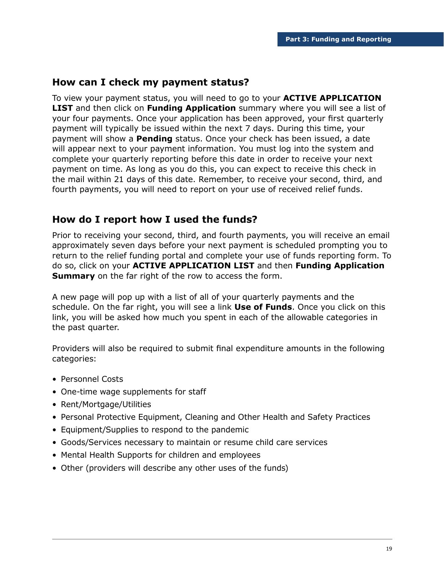#### **How can I check my payment status?**

To view your payment status, you will need to go to your **ACTIVE APPLICATION LIST** and then click on **Funding Application** summary where you will see a list of your four payments. Once your application has been approved, your first quarterly payment will typically be issued within the next 7 days. During this time, your payment will show a **Pending** status. Once your check has been issued, a date will appear next to your payment information. You must log into the system and complete your quarterly reporting before this date in order to receive your next payment on time. As long as you do this, you can expect to receive this check in the mail within 21 days of this date. Remember, to receive your second, third, and fourth payments, you will need to report on your use of received relief funds.

### **How do I report how I used the funds?**

Prior to receiving your second, third, and fourth payments, you will receive an email approximately seven days before your next payment is scheduled prompting you to return to the relief funding portal and complete your use of funds reporting form. To do so, click on your **ACTIVE APPLICATION LIST** and then **Funding Application Summary** on the far right of the row to access the form.

A new page will pop up with a list of all of your quarterly payments and the schedule. On the far right, you will see a link **Use of Funds**. Once you click on this link, you will be asked how much you spent in each of the allowable categories in the past quarter.

Providers will also be required to submit final expenditure amounts in the following categories:

- Personnel Costs
- One-time wage supplements for staff
- Rent/Mortgage/Utilities
- Personal Protective Equipment, Cleaning and Other Health and Safety Practices
- Equipment/Supplies to respond to the pandemic
- Goods/Services necessary to maintain or resume child care services
- Mental Health Supports for children and employees
- Other (providers will describe any other uses of the funds)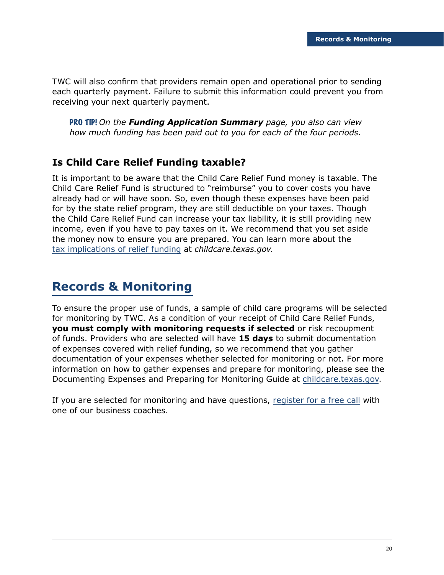TWC will also confirm that providers remain open and operational prior to sending each quarterly payment. Failure to submit this information could prevent you from receiving your next quarterly payment.

PRO TIP! *On the Funding Application Summary page, you also can view how much funding has been paid out to you for each of the four periods.*

# **Is Child Care Relief Funding taxable?**

It is important to be aware that the Child Care Relief Fund money is taxable. The Child Care Relief Fund is structured to "reimburse" you to cover costs you have already had or will have soon. So, even though these expenses have been paid for by the state relief program, they are still deductible on your taxes. Though the Child Care Relief Fund can increase your tax liability, it is still providing new income, even if you have to pay taxes on it. We recommend that you set aside the money now to ensure you are prepared. You can learn more about the [tax implications of relief funding](https://www.childcare.texas.gov/how-do-i-prepare-for-tax-season?hsLang=en) at *childcare.texas.gov.*

# **Records & Monitoring**

To ensure the proper use of funds, a sample of child care programs will be selected for monitoring by TWC. As a condition of your receipt of Child Care Relief Funds, **you must comply with monitoring requests if selected** or risk recoupment of funds. Providers who are selected will have **15 days** to submit documentation of expenses covered with relief funding, so we recommend that you gather documentation of your expenses whether selected for monitoring or not. For more information on how to gather expenses and prepare for monitoring, please see the Documenting Expenses and Preparing for Monitoring Guide at [childcare.texas.gov](http://childcare.texas.gov).

If you are selected for monitoring and have questions, [register for a free call](https://www.childcare.texas.gov/free-business-coaching?hsLang=en) with one of our business coaches.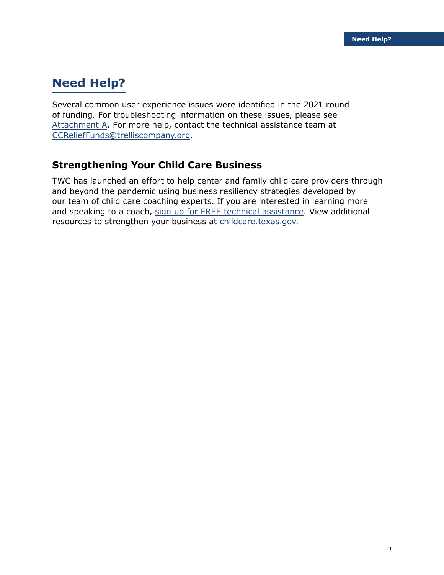# **Need Help?**

Several common user experience issues were identified in the 2021 round of funding. For troubleshooting information on these issues, please see [Attachment A.](#page-21-0) For more help, contact the technical assistance team at [CCReliefFunds@trelliscompany.org](mailto:CCReliefFunds%40trelliscompany.org?subject=).

# **Strengthening Your Child Care Business**

TWC has launched an effort to help center and family child care providers through and beyond the pandemic using business resiliency strategies developed by our team of child care coaching experts. If you are interested in learning more and speaking to a coach, [sign up for FREE technical assistance.](https://www.childcare.texas.gov/free-business-coaching?hsLang=en) View additional resources to strengthen your business at [childcare.texas.gov.](http://childcare.texas.gov)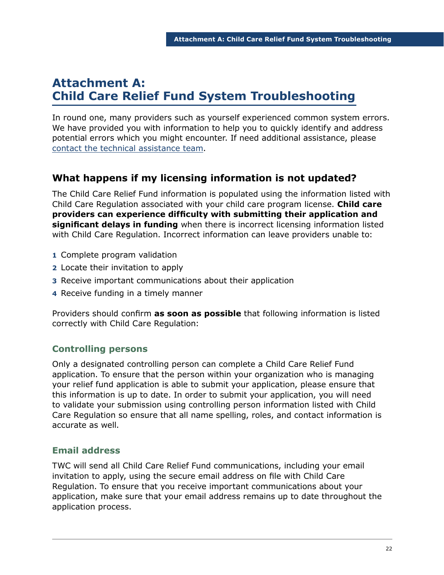# <span id="page-21-0"></span>**Attachment A: Child Care Relief Fund System Troubleshooting**

In round one, many providers such as yourself experienced common system errors. We have provided you with information to help you to quickly identify and address potential errors which you might encounter. If need additional assistance, please [contact the technical assistance team](https://www.childcare.texas.gov/ccrf2022update).

# **What happens if my licensing information is not updated?**

The Child Care Relief Fund information is populated using the information listed with Child Care Regulation associated with your child care program license. **Child care providers can experience difficulty with submitting their application and significant delays in funding** when there is incorrect licensing information listed with Child Care Regulation. Incorrect information can leave providers unable to:

- **1** Complete program validation
- **2** Locate their invitation to apply
- **3** Receive important communications about their application
- **4** Receive funding in a timely manner

Providers should confirm **as soon as possible** that following information is listed correctly with Child Care Regulation:

### **Controlling persons**

Only a designated controlling person can complete a Child Care Relief Fund application. To ensure that the person within your organization who is managing your relief fund application is able to submit your application, please ensure that this information is up to date. In order to submit your application, you will need to validate your submission using controlling person information listed with Child Care Regulation so ensure that all name spelling, roles, and contact information is accurate as well.

### **Email address**

TWC will send all Child Care Relief Fund communications, including your email invitation to apply, using the secure email address on file with Child Care Regulation. To ensure that you receive important communications about your application, make sure that your email address remains up to date throughout the application process.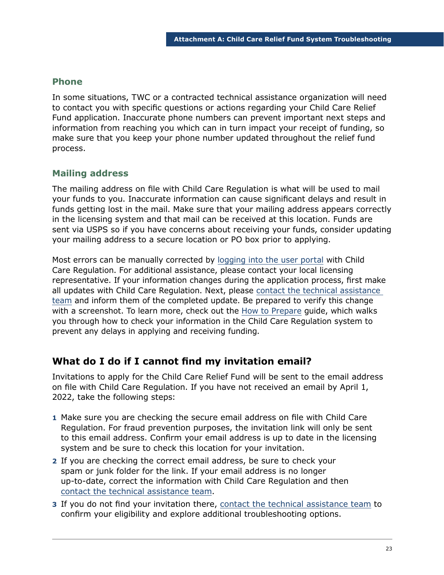#### **Phone**

In some situations, TWC or a contracted technical assistance organization will need to contact you with specific questions or actions regarding your Child Care Relief Fund application. Inaccurate phone numbers can prevent important next steps and information from reaching you which can in turn impact your receipt of funding, so make sure that you keep your phone number updated throughout the relief fund process.

#### **Mailing address**

The mailing address on file with Child Care Regulation is what will be used to mail your funds to you. Inaccurate information can cause significant delays and result in funds getting lost in the mail. Make sure that your mailing address appears correctly in the licensing system and that mail can be received at this location. Funds are sent via USPS so if you have concerns about receiving your funds, consider updating your mailing address to a secure location or PO box prior to applying.

Most errors can be manually corrected by [logging into the user portal](https://www.dfps.state.tx.us/Child_Care/Search_Texas_Child_Care/ppFacilityLogin.asp) with Child Care Regulation. For additional assistance, please contact your local licensing representative. If your information changes during the application process, first make all updates with Child Care Regulation. Next, please [contact the technical assistance](https://www.childcare.texas.gov/ccrf2022update)  [team](https://www.childcare.texas.gov/ccrf2022update) and inform them of the completed update. Be prepared to verify this change with a screenshot. To learn more, check out the [How to Prepare](https://www.childcare.texas.gov/preparing-for-the-child-care-relief-fund?hsLang=en) guide, which walks you through how to check your information in the Child Care Regulation system to prevent any delays in applying and receiving funding.

### **What do I do if I cannot find my invitation email?**

Invitations to apply for the Child Care Relief Fund will be sent to the email address on file with Child Care Regulation. If you have not received an email by April 1, 2022, take the following steps:

- **1** Make sure you are checking the secure email address on file with Child Care Regulation. For fraud prevention purposes, the invitation link will only be sent to this email address. Confirm your email address is up to date in the licensing system and be sure to check this location for your invitation.
- **2** If you are checking the correct email address, be sure to check your spam or junk folder for the link. If your email address is no longer up-to-date, correct the information with Child Care Regulation and then [contact the technical assistance team](https://www.childcare.texas.gov/ccrf2022update).
- **3** If you do not find your invitation there, [contact the technical assistance team](https://www.childcare.texas.gov/ccrf2022update) to confirm your eligibility and explore additional troubleshooting options.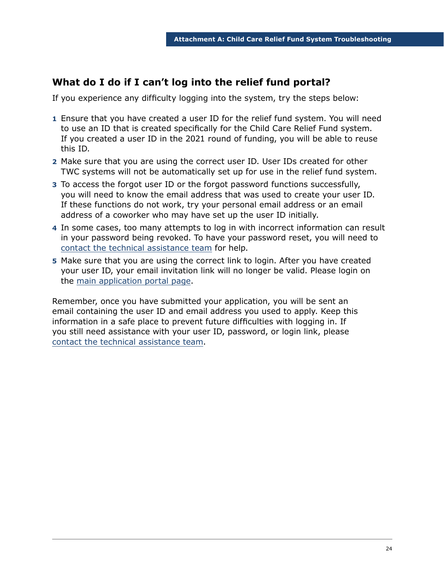# **What do I do if I can't log into the relief fund portal?**

If you experience any difficulty logging into the system, try the steps below:

- **1** Ensure that you have created a user ID for the relief fund system. You will need to use an ID that is created specifically for the Child Care Relief Fund system. If you created a user ID in the 2021 round of funding, you will be able to reuse this ID.
- **2** Make sure that you are using the correct user ID. User IDs created for other TWC systems will not be automatically set up for use in the relief fund system.
- **3** To access the forgot user ID or the forgot password functions successfully, you will need to know the email address that was used to create your user ID. If these functions do not work, try your personal email address or an email address of a coworker who may have set up the user ID initially.
- **4** In some cases, too many attempts to log in with incorrect information can result in your password being revoked. To have your password reset, you will need to [contact the technical assistance team](https://www.childcare.texas.gov/ccrf2022update) for help.
- **5** Make sure that you are using the correct link to login. After you have created your user ID, your email invitation link will no longer be valid. Please login on the [main application portal page](https://apps.twc.state.tx.us/ChildCareReliefGrant/logon/?language=en).

Remember, once you have submitted your application, you will be sent an email containing the user ID and email address you used to apply. Keep this information in a safe place to prevent future difficulties with logging in. If you still need assistance with your user ID, password, or login link, please [contact the technical assistance team](https://www.childcare.texas.gov/ccrf2022update).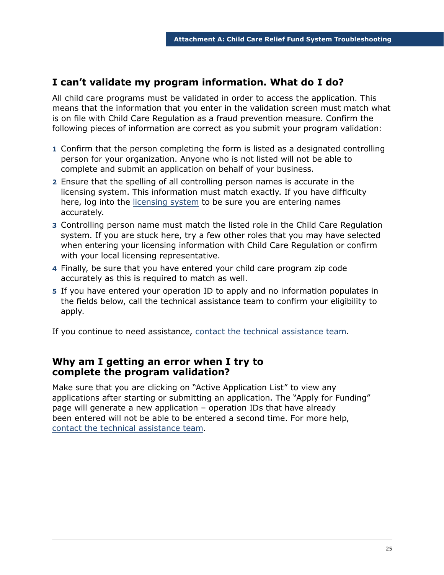# **I can't validate my program information. What do I do?**

All child care programs must be validated in order to access the application. This means that the information that you enter in the validation screen must match what is on file with Child Care Regulation as a fraud prevention measure. Confirm the following pieces of information are correct as you submit your program validation:

- **1** Confirm that the person completing the form is listed as a designated controlling person for your organization. Anyone who is not listed will not be able to complete and submit an application on behalf of your business.
- **2** Ensure that the spelling of all controlling person names is accurate in the licensing system. This information must match exactly. If you have difficulty here, log into the [licensing system](https://www.dfps.state.tx.us/Child_Care/Search_Texas_Child_Care/ppFacilityLogin.asp) to be sure you are entering names accurately.
- **3** Controlling person name must match the listed role in the Child Care Regulation system. If you are stuck here, try a few other roles that you may have selected when entering your licensing information with Child Care Regulation or confirm with your local licensing representative.
- **4** Finally, be sure that you have entered your child care program zip code accurately as this is required to match as well.
- **5** If you have entered your operation ID to apply and no information populates in the fields below, call the technical assistance team to confirm your eligibility to apply.

If you continue to need assistance, [contact the technical assistance team.](https://www.childcare.texas.gov/ccrf2022update)

#### **Why am I getting an error when I try to complete the program validation?**

Make sure that you are clicking on "Active Application List" to view any applications after starting or submitting an application. The "Apply for Funding" page will generate a new application – operation IDs that have already been entered will not be able to be entered a second time. For more help, [contact the technical assistance team](https://www.childcare.texas.gov/ccrf2022update).